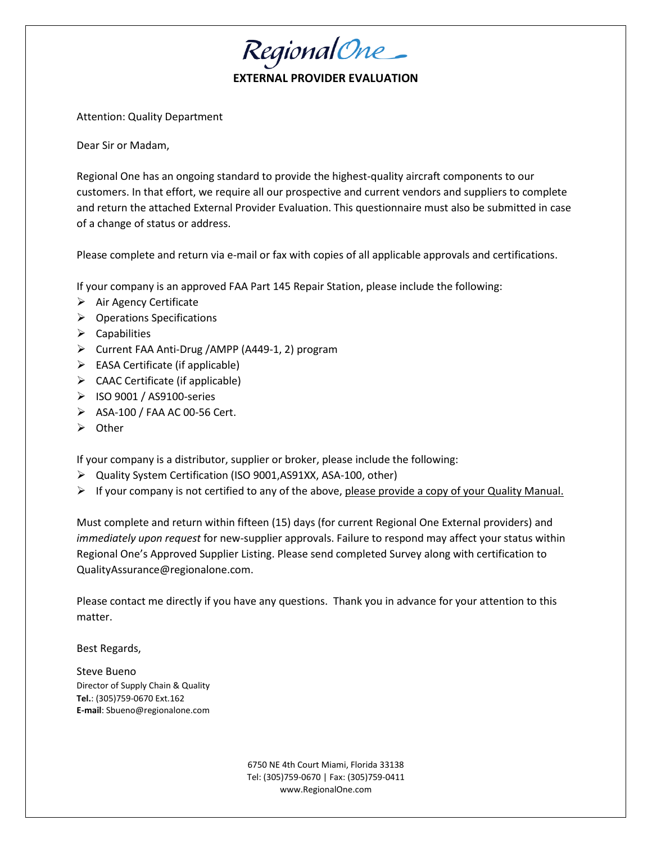Regional One

## **EXALUATION**

Attention: Quality Department

Dear Sir or Madam,

Regional One has an ongoing standard to provide the highest-quality aircraft components to our customers. In that effort, we require all our prospective and current vendors and suppliers to complete and return the attached External Provider Evaluation. This questionnaire must also be submitted in case of a change of status or address.

Please complete and return via e-mail or fax with copies of all applicable approvals and certifications.

If your company is an approved FAA Part 145 Repair Station, please include the following:

- $\triangleright$  Air Agency Certificate
- ➢ Operations Specifications
- $\triangleright$  Capabilities
- ➢ Current FAA Anti-Drug /AMPP (A449-1, 2) program
- ➢ EASA Certificate (if applicable)
- $\triangleright$  CAAC Certificate (if applicable)
- ➢ ISO 9001 / AS9100-series
- ➢ ASA-100 / FAA AC 00-56 Cert.
- ➢ Other

If your company is a distributor, supplier or broker, please include the following:

- ➢ Quality System Certification (ISO 9001,AS91XX, ASA-100, other)
- $\triangleright$  If your company is not certified to any of the above, please provide a copy of your Quality Manual.

Must complete and return within fifteen (15) days (for current Regional One External providers) and *immediately upon request* for new-supplier approvals. Failure to respond may affect your status within Regional One's Approved Supplier Listing. Please send completed Survey along with certification to QualityAssurance@regionalone.com.

Please contact me directly if you have any questions. Thank you in advance for your attention to this matter.

Best Regards,

Steve Bueno Director of Supply Chain & Quality **Tel.**: (305)759-0670 Ext.162 **E-mail**: Sbueno@regionalone.com

> 6750 NE 4th Court Miami, Florida 33138 Tel: (305)759-0670 | Fax: (305)759-0411 [www.RegionalOne.com](http://www.regionalone.com/)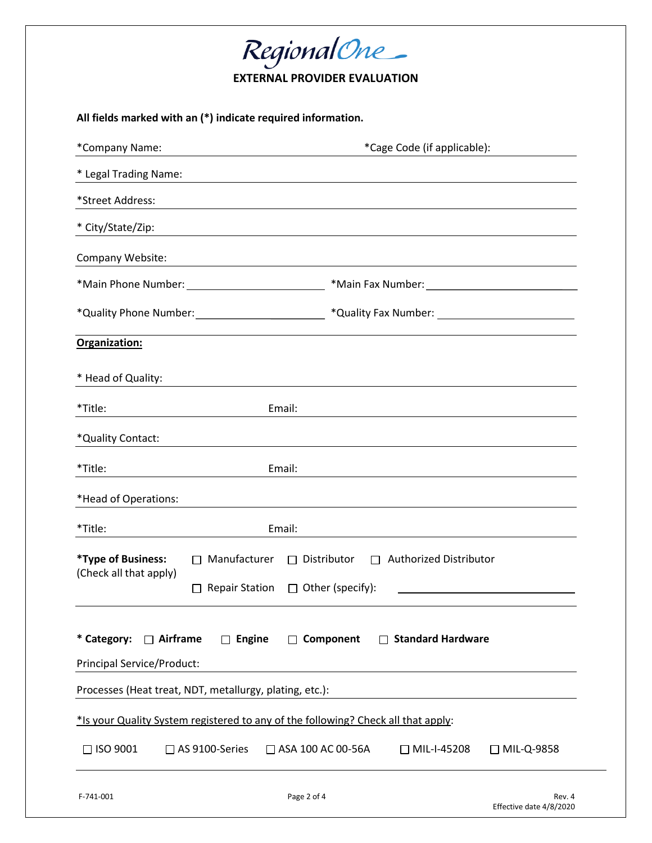| Regional One_<br><b>EXTERNAL PROVIDER EVALUATION</b>                              |                                                                                                                                                                                                                                      |  |  |  |  |  |
|-----------------------------------------------------------------------------------|--------------------------------------------------------------------------------------------------------------------------------------------------------------------------------------------------------------------------------------|--|--|--|--|--|
| All fields marked with an (*) indicate required information.                      |                                                                                                                                                                                                                                      |  |  |  |  |  |
| *Company Name:                                                                    | *Cage Code (if applicable):                                                                                                                                                                                                          |  |  |  |  |  |
| * Legal Trading Name:                                                             |                                                                                                                                                                                                                                      |  |  |  |  |  |
| *Street Address:                                                                  |                                                                                                                                                                                                                                      |  |  |  |  |  |
| * City/State/Zip:                                                                 | <u>and the control of the control of the control of the control of the control of the control of the control of the control of the control of the control of the control of the control of the control of the control of the con</u> |  |  |  |  |  |
| Company Website:                                                                  | <u> 1989 - Johann Barbara, martxa alemaniar amerikan basar da da a shekara 1980 - Andrew Santa Barbara, a shekar</u>                                                                                                                 |  |  |  |  |  |
|                                                                                   | *Main Phone Number: _________________________________*Main Fax Number: ___________________________________                                                                                                                           |  |  |  |  |  |
|                                                                                   | *Quality Phone Number: _______________________________*Quality Fax Number: _________________________                                                                                                                                 |  |  |  |  |  |
| Organization:                                                                     |                                                                                                                                                                                                                                      |  |  |  |  |  |
| * Head of Quality:                                                                |                                                                                                                                                                                                                                      |  |  |  |  |  |
| Email:<br>*Title:                                                                 |                                                                                                                                                                                                                                      |  |  |  |  |  |
| *Quality Contact:                                                                 |                                                                                                                                                                                                                                      |  |  |  |  |  |
| Email:<br>*Title:                                                                 |                                                                                                                                                                                                                                      |  |  |  |  |  |
| *Head of Operations:                                                              |                                                                                                                                                                                                                                      |  |  |  |  |  |
| *Title:<br>Email:                                                                 |                                                                                                                                                                                                                                      |  |  |  |  |  |
| *Type of Business:<br>$\Box$ Manufacturer<br>(Check all that apply)               | $\Box$ Distributor<br><b>Authorized Distributor</b><br>$\Box$                                                                                                                                                                        |  |  |  |  |  |
| $\Box$ Repair Station                                                             | $\Box$ Other (specify):                                                                                                                                                                                                              |  |  |  |  |  |
| * Category: $\Box$ Airframe<br>$\Box$ Engine<br>$\Box$                            | Component<br>□ Standard Hardware                                                                                                                                                                                                     |  |  |  |  |  |
| <b>Principal Service/Product:</b>                                                 |                                                                                                                                                                                                                                      |  |  |  |  |  |
| Processes (Heat treat, NDT, metallurgy, plating, etc.):                           | <u> 1989 - Johann Barbara, martxa alemaniar amerikan a</u>                                                                                                                                                                           |  |  |  |  |  |
| *Is your Quality System registered to any of the following? Check all that apply: |                                                                                                                                                                                                                                      |  |  |  |  |  |
| □ ISO 9001<br>□ AS 9100-Series                                                    | □ ASA 100 AC 00-56A<br>$\Box$ MIL-I-45208<br>□ MIL-Q-9858                                                                                                                                                                            |  |  |  |  |  |
| Page 2 of 4<br>F-741-001                                                          | Rev. 4                                                                                                                                                                                                                               |  |  |  |  |  |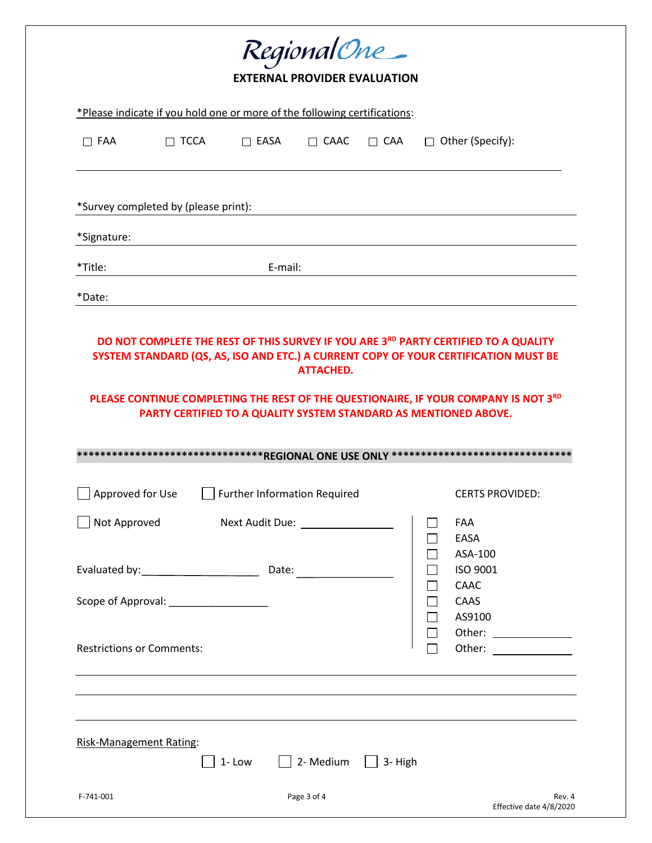| RegionalOne_                                                                                                                                                                                                                                 |             |                                 |             |            |    |                                                       |  |  |  |
|----------------------------------------------------------------------------------------------------------------------------------------------------------------------------------------------------------------------------------------------|-------------|---------------------------------|-------------|------------|----|-------------------------------------------------------|--|--|--|
| <b>EXTERNAL PROVIDER EVALUATION</b>                                                                                                                                                                                                          |             |                                 |             |            |    |                                                       |  |  |  |
| *Please indicate if you hold one or more of the following certifications:                                                                                                                                                                    |             |                                 |             |            |    |                                                       |  |  |  |
| $\Box$ FAA                                                                                                                                                                                                                                   | $\Box$ TCCA | $\Box$ EASA                     | $\Box$ CAAC | $\Box$ CAA | n. | Other (Specify):                                      |  |  |  |
|                                                                                                                                                                                                                                              |             |                                 |             |            |    |                                                       |  |  |  |
| *Survey completed by (please print):                                                                                                                                                                                                         |             |                                 |             |            |    |                                                       |  |  |  |
| *Signature:                                                                                                                                                                                                                                  |             |                                 |             |            |    |                                                       |  |  |  |
| *Title:                                                                                                                                                                                                                                      |             | E-mail:                         |             |            |    |                                                       |  |  |  |
| *Date:                                                                                                                                                                                                                                       |             |                                 |             |            |    |                                                       |  |  |  |
| PLEASE CONTINUE COMPLETING THE REST OF THE QUESTIONAIRE, IF YOUR COMPANY IS NOT 3RD<br>PARTY CERTIFIED TO A QUALITY SYSTEM STANDARD AS MENTIONED ABOVE.<br>Approved for Use<br><b>Further Information Required</b><br><b>CERTS PROVIDED:</b> |             |                                 |             |            |    |                                                       |  |  |  |
| Not Approved                                                                                                                                                                                                                                 |             | Next Audit Due: Next Audit Due: |             |            |    | FAA                                                   |  |  |  |
| Scope of Approval: National Scope of Approval:<br><b>Restrictions or Comments:</b>                                                                                                                                                           |             | Date:                           |             |            |    | EASA<br>ASA-100<br>ISO 9001<br>CAAC<br>CAAS<br>AS9100 |  |  |  |
|                                                                                                                                                                                                                                              |             |                                 |             |            |    |                                                       |  |  |  |
| <b>Risk-Management Rating:</b>                                                                                                                                                                                                               |             | 1-Low                           | 2- Medium   | 3-High     |    |                                                       |  |  |  |
| F-741-001                                                                                                                                                                                                                                    |             |                                 | Page 3 of 4 |            |    | Rev. 4<br>Effective date 4/8/2020                     |  |  |  |